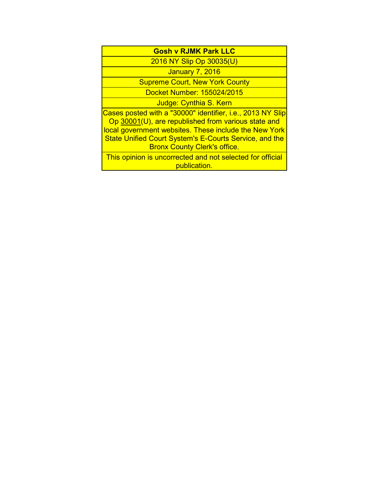| <b>Gosh v RJMK Park LLC</b>                                                                                                                                                                                                                                                        |
|------------------------------------------------------------------------------------------------------------------------------------------------------------------------------------------------------------------------------------------------------------------------------------|
| 2016 NY Slip Op 30035(U)                                                                                                                                                                                                                                                           |
| <b>January 7, 2016</b>                                                                                                                                                                                                                                                             |
| <b>Supreme Court, New York County</b>                                                                                                                                                                                                                                              |
| Docket Number: 155024/2015                                                                                                                                                                                                                                                         |
| Judge: Cynthia S. Kern                                                                                                                                                                                                                                                             |
| Cases posted with a "30000" identifier, i.e., 2013 NY Slip<br>Op 30001(U), are republished from various state and<br>local government websites. These include the New York<br><b>State Unified Court System's E-Courts Service, and the</b><br><b>Bronx County Clerk's office.</b> |

This opinion is uncorrected and not selected for official publication.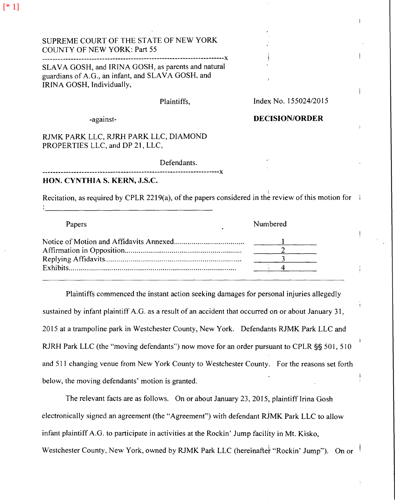| SUPREME COURT OF THE STATE OF NEW YORK<br><b>COUNTY OF NEW YORK: Part 55</b><br>SLAVA GOSH, and IRINA GOSH, as parents and natural<br>guardians of A.G., an infant, and SLAVA GOSH, and<br>IRINA GOSH, Individually, |             |                       |  |
|----------------------------------------------------------------------------------------------------------------------------------------------------------------------------------------------------------------------|-------------|-----------------------|--|
|                                                                                                                                                                                                                      |             |                       |  |
|                                                                                                                                                                                                                      | Plaintiffs, | Index No. 155024/2015 |  |
| -against-                                                                                                                                                                                                            |             | <b>DECISION/ORDER</b> |  |
| RJMK PARK LLC, RJRH PARK LLC, DIAMOND<br>PROPERTIES LLC, and DP 21, LLC,                                                                                                                                             |             |                       |  |
|                                                                                                                                                                                                                      | Defendants. |                       |  |
| HON. CYNTHIA S. KERN, J.S.C.                                                                                                                                                                                         |             |                       |  |
| Recitation, as required by CPLR 2219(a), of the papers considered in the review of this motion for                                                                                                                   |             |                       |  |

| Papers | Numbered |
|--------|----------|
|        |          |
|        |          |
|        |          |
|        |          |

Plaintiffs commenced the instant action seeking damages for personal injuries allegedly sustained by infant plaintiff A.G. as a result of an accident that occurred on or about January 31, 2015 at a trampoline park in Westchester County, New York. Defendants RJMK Park LLC and RJRH Park LLC (the "moving defendants") now move for an order pursuant to CPLR §§ 501, 510 and 511 changing venue from New York County to Westchester County. For the reasons set forth below, the moving defendants' motion is granted.

The relevant facts are as follows. On or about January 23, 2015, plaintiff Irina Gosh electronically signed an agreement (the "Agreement") with defendant RiMK Park LLC to allow infant plaintiff A.G. to participate in activities at the Rockin' Jump facility in Mt. Kisko, Westchester County, New York, owned by RJMK Park LLC (hereinafter "Rockin' Jump"). On or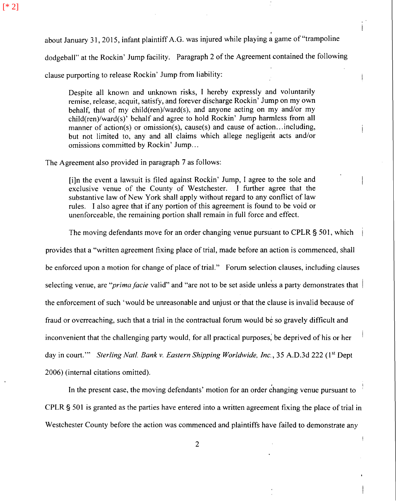. about January 31, 2015, infant plaintiff A.G. was injured while playing a game of "trampoline

dodgeball" at the Rockin' Jump facility. Paragraph 2 of the Agreement contained the following

clause purporting to release Rockin' Jump from liability:

Despite all known and unknown risks, I hereby expressly and voluntarily remise, release, acquit, satisfy, and forever discharge Rockin' Jump on my own behalf, that of my child(ren)/ward(s), and anyone acting on my and/or my child(ren)/ward(s)' behalf and agree to hold Rockin' Jump harmless from all manner of action(s) or omission(s), cause(s) and cause of action... including, but not limited to, any and all claims which allege negligent acts and/or omissions committed by Rockin' Jump...

The Agreement also provided in paragraph 7 as follows:

[i]n the event a lawsuit is filed against Rockin' Jump, I agree to the sole and exclusive venue of the County of Westchester. I further agree that the substantive law of New York shall apply without regard to any conflict of law rules. I also agree that if any portion of this agreement is found to be void or unenforceable, the remaining portion shall remain in full force and effect.

The moving defendants move for an order changing venue pursuant to CPLR § 501, which

provides that a "written agreement fixing place of trial, made before an action is commenced, shall be enforced upon a motion for change of place of trial." Forum selection clauses, including clauses selecting venue, are "*prima facie* valid" and "are not to be set aside unless a party demonstrates that the enforcement of such 'would be unreasonable and unjust or that the clause is invalid because of fraud or overreaching, such that a trial in the contractual forum would be so gravely difficult and inconvenient that the challenging party would, for all practical purposes; be deprived of his or her day in court."" *Sterling Natl. Bank v. Eastern Shipping Worldwide, Inc.*, 35 A.D.3d 222 (1<sup>st</sup> Dept 2006) (internal citations omitted).

In the present case, the moving defendants' motion for an order changing venue pursuant to CPLR § 501 is granted as the parties have entered into a written agreement fixing the place of trial in Westchester County before the action was commenced and plaintiffs have failed to demonstrate any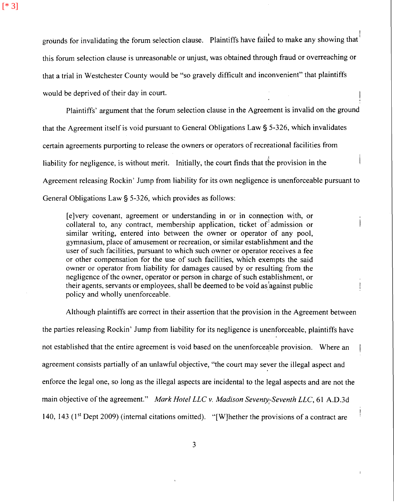grounds for invalidating the forum selection clause. Plaintiffs have failed to make any showing that  $^{\dagger}$ this forum selection clause is unreasonable or unjust, was obtained through fraud or overreaching or that a trial in Westchester County would be "so gravely difficult and inconvenient" that plaintiffs would be deprived of their day in court.

Plaintiffs' argument that the forum selection clause in the Agreement is invalid on the ground that the Agreement itself is void pursuant to General Obligations Law § 5-326, which invalidates certain agreements purporting to release the owners or operators of recreational facilities from liability for negligence, is without merit. Initially, the court finds that the provision in the Agreement releasing Rockin' Jump from liability for its own negligence is unenforceable pursuant to General Obligations Law§ 5-326, which provides as follows:

[ e ]very covenant, agreement or understanding in or in connection with, or collateral to, any contract, membership application, ticket of  $\alpha$  admission or similar writing, entered into between the owner or operator of any pool, gymnasium, place of amusement or recreation, or similar establishment and the user of such facilities, pursuant to which such owner or operator receives a fee or other compensation for the use of such facilities, which exempts the said owner or operator from liability for damages caused by or resulting from the negligence of the owner, operator or person in charge of such establishment, or their agents, servants or employees, shall be deemed to be void as against public policy and wholly unenforceable.

Although plaintiffs are correct in their assertion that the provision in the Agreement between the parties releasing Rockin' Jump from liability for its negligence is unenforceable, plaintiffs have not established that the entire agreement is void based on the unenforceable provision. Where an agreement consists partially of an unlawful objective, "the court may sever the illegal aspect and enforce the legal one, so long as the illegal aspects are incidental to the legal aspects and are not the main objective of the agreement." *Mark Hotel LLC v. Madison Seventy-Seventh LLC*, 61 A.D.3d 140, 143 ( $1<sup>st</sup>$  Dept 2009) (internal citations omitted). "[W] hether the provisions of a contract are